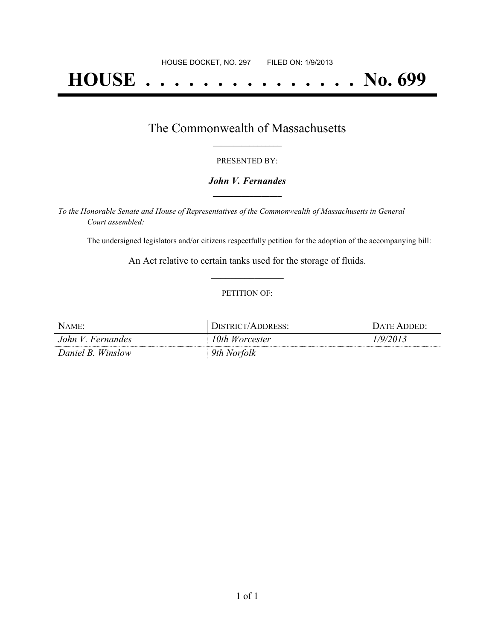# **HOUSE . . . . . . . . . . . . . . . No. 699**

### The Commonwealth of Massachusetts **\_\_\_\_\_\_\_\_\_\_\_\_\_\_\_\_\_**

#### PRESENTED BY:

#### *John V. Fernandes* **\_\_\_\_\_\_\_\_\_\_\_\_\_\_\_\_\_**

*To the Honorable Senate and House of Representatives of the Commonwealth of Massachusetts in General Court assembled:*

The undersigned legislators and/or citizens respectfully petition for the adoption of the accompanying bill:

An Act relative to certain tanks used for the storage of fluids. **\_\_\_\_\_\_\_\_\_\_\_\_\_\_\_**

#### PETITION OF:

| NAME:             | DISTRICT/ADDRESS: | DATE ADDED: |
|-------------------|-------------------|-------------|
| John V. Fernandes | 10th Worcester    | 1/9/2013    |
| Daniel B. Winslow | 9th Norfolk       |             |